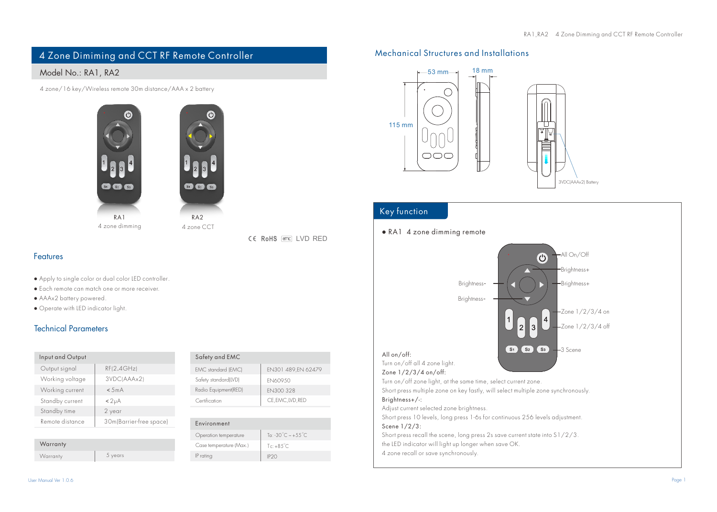# 4 Zone Dimiming and CCT RF Remote Controller

## Model No.: RA1, RA2

4 zone/16 key/Wireless remote 30m distance/AAA x 2 battery





CE RoHS (emc) LVD RED

## Features

- Apply to single color or dual color LED controller.
- Each remote can match one or more receiver.
- AAAx2 battery powered.
- Operate with LED indicator light.

## Technical Parameters

| Input and Output |                         |
|------------------|-------------------------|
| Output signal    | RF(2.4GHz)              |
| Working voltage  | 3VDC(AAAx2)             |
| Working current  | < 5mA                   |
| Standby current  | < 2 <sub>µ</sub> A      |
| Standby time     | 2 year                  |
| Remote distance  | 30m(Barrier-free space) |

| Warranty |         |
|----------|---------|
| Warranty | 5 years |

| Safety and EMC       |                     |
|----------------------|---------------------|
| EMC standard (EMC)   | EN301 489, EN 62479 |
| Safety standard(LVD) | EN60950             |
| Radio Equipment(RED) | EN300 328           |
| Certification        | CE, EMC, LVD, RED   |
|                      |                     |

#### Environment

| Operation temperature   | Ta: $-30^{\circ}$ C $\sim +55^{\circ}$ C |
|-------------------------|------------------------------------------|
| Case temperature (Max.) | $Te + 85^{\circ}C$                       |
| IP rating               | IP <sub>20</sub>                         |

## Mechanical Structures and Installations



## Key function

### ● RA1 4 zone dimming remote

All On/Off  $\odot$ Brightness+ Brightness-Brightness+ Brightness-Zone 1/2/3/4 on one  $1/2/3/4$  off  $S_1$   $S_2$   $S_3$ 3 Scene All on/off: Turn on/off all 4 zone light. Zone 1/2/3/4 on/off: Turn on/off zone light, at the same time, select current zone. Short press multiple zone on key fastly, will select multiple zone synchronously.

#### Brightness+/-:

Adjust current selected zone brightness.

Short press 10 levels, long press 1-6s for continuous 256 levels adjustment. Scene 1/2/3:

Short press recall the scene, long press 2s save current state into S1/2/3. the LED indicator will light up longer when save OK. 4 zone recall or save synchronously.

User Manual Ver 1.0.6